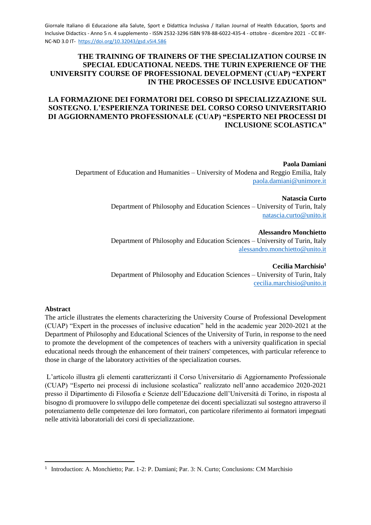#### **THE TRAINING OF TRAINERS OF THE SPECIALIZATION COURSE IN SPECIAL EDUCATIONAL NEEDS. THE TURIN EXPERIENCE OF THE UNIVERSITY COURSE OF PROFESSIONAL DEVELOPMENT (CUAP) "EXPERT IN THE PROCESSES OF INCLUSIVE EDUCATION"**

# **LA FORMAZIONE DEI FORMATORI DEL CORSO DI SPECIALIZZAZIONE SUL SOSTEGNO. L'ESPERIENZA TORINESE DEL CORSO CORSO UNIVERSITARIO DI AGGIORNAMENTO PROFESSIONALE (CUAP) "ESPERTO NEI PROCESSI DI INCLUSIONE SCOLASTICA"**

**Paola Damiani** Department of Education and Humanities – University of Modena and Reggio Emilia, Italy [paola.damiani@unimore.it](mailto:paola.damiani@unimore.it)

> **Natascia Curto** Department of Philosophy and Education Sciences – University of Turin, Italy [natascia.curto@unito.it](mailto:natascia.curto@unito.it)

> **Alessandro Monchietto** Department of Philosophy and Education Sciences – University of Turin, Italy [alessandro.monchietto@unito.it](mailto:alessandro.monchietto@unito.it)

> **Cecilia Marchisio<sup>1</sup>** Department of Philosophy and Education Sciences – University of Turin, Italy [cecilia.marchisio@unito.it](mailto:cecilia.marchisio@unito.it)

#### **Abstract**

-

The article illustrates the elements characterizing the University Course of Professional Development (CUAP) "Expert in the processes of inclusive education" held in the academic year 2020-2021 at the Department of Philosophy and Educational Sciences of the University of Turin, in response to the need to promote the development of the competences of teachers with a university qualification in special educational needs through the enhancement of their trainers' competences, with particular reference to those in charge of the laboratory activities of the specialization courses.

L'articolo illustra gli elementi caratterizzanti il Corso Universitario di Aggiornamento Professionale (CUAP) "Esperto nei processi di inclusione scolastica" realizzato nell'anno accademico 2020-2021 presso il Dipartimento di Filosofia e Scienze dell'Educazione dell'Università di Torino, in risposta al bisogno di promuovere lo sviluppo delle competenze dei docenti specializzati sul sostegno attraverso il potenziamento delle competenze dei loro formatori, con particolare riferimento ai formatori impegnati nelle attività laboratoriali dei corsi di specializzazione.

<sup>&</sup>lt;sup>1</sup> Introduction: A. Monchietto; Par. 1-2: P. Damiani; Par. 3: N. Curto; Conclusions: CM Marchisio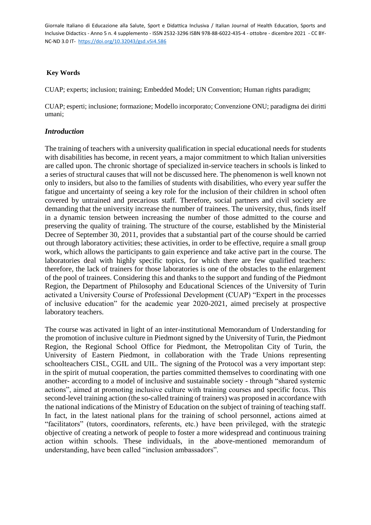#### **Key Words**

CUAP; experts; inclusion; training; Embedded Model; UN Convention; Human rights paradigm;

CUAP; esperti; inclusione; formazione; Modello incorporato; Convenzione ONU; paradigma dei diritti umani;

#### *Introduction*

The training of teachers with a university qualification in special educational needs for students with disabilities has become, in recent years, a major commitment to which Italian universities are called upon. The chronic shortage of specialized in-service teachers in schools is linked to a series of structural causes that will not be discussed here. The phenomenon is well known not only to insiders, but also to the families of students with disabilities, who every year suffer the fatigue and uncertainty of seeing a key role for the inclusion of their children in school often covered by untrained and precarious staff. Therefore, social partners and civil society are demanding that the university increase the number of trainees. The university, thus, finds itself in a dynamic tension between increasing the number of those admitted to the course and preserving the quality of training. The structure of the course, established by the Ministerial Decree of September 30, 2011, provides that a substantial part of the course should be carried out through laboratory activities; these activities, in order to be effective, require a small group work, which allows the participants to gain experience and take active part in the course. The laboratories deal with highly specific topics, for which there are few qualified teachers: therefore, the lack of trainers for those laboratories is one of the obstacles to the enlargement of the pool of trainees. Considering this and thanks to the support and funding of the Piedmont Region, the Department of Philosophy and Educational Sciences of the University of Turin activated a University Course of Professional Development (CUAP) "Expert in the processes of inclusive education" for the academic year 2020-2021, aimed precisely at prospective laboratory teachers.

The course was activated in light of an inter-institutional Memorandum of Understanding for the promotion of inclusive culture in Piedmont signed by the University of Turin, the Piedmont Region, the Regional School Office for Piedmont, the Metropolitan City of Turin, the University of Eastern Piedmont, in collaboration with the Trade Unions representing schoolteachers CISL, CGIL and UIL. The signing of the Protocol was a very important step: in the spirit of mutual cooperation, the parties committed themselves to coordinating with one another- according to a model of inclusive and sustainable society - through "shared systemic actions", aimed at promoting inclusive culture with training courses and specific focus. This second-level training action (the so-called training of trainers) was proposed in accordance with the national indications of the Ministry of Education on the subject of training of teaching staff. In fact, in the latest national plans for the training of school personnel, actions aimed at "facilitators" (tutors, coordinators, referents, etc.) have been privileged, with the strategic objective of creating a network of people to foster a more widespread and continuous training action within schools. These individuals, in the above-mentioned memorandum of understanding, have been called "inclusion ambassadors".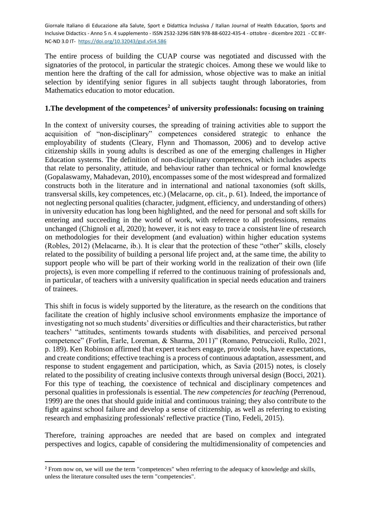The entire process of building the CUAP course was negotiated and discussed with the signatories of the protocol, in particular the strategic choices. Among these we would like to mention here the drafting of the call for admission, whose objective was to make an initial selection by identifying senior figures in all subjects taught through laboratories, from Mathematics education to motor education.

### **1.The development of the competences<sup>2</sup> of university professionals: focusing on training**

In the context of university courses, the spreading of training activities able to support the acquisition of "non-disciplinary" competences considered strategic to enhance the employability of students (Cleary, Flynn and Thomasson, 2006) and to develop active citizenship skills in young adults is described as one of the emerging challenges in Higher Education systems. The definition of non-disciplinary competences, which includes aspects that relate to personality, attitude, and behaviour rather than technical or formal knowledge (Gopalaswamy, Mahadevan, 2010), encompasses some of the most widespread and formalized constructs both in the literature and in international and national taxonomies (soft skills, transversal skills, key competences, etc.) (Melacarne, op. cit., p. 61). Indeed, the importance of not neglecting personal qualities (character, judgment, efficiency, and understanding of others) in university education has long been highlighted, and the need for personal and soft skills for entering and succeeding in the world of work, with reference to all professions, remains unchanged (Chignoli et al, 2020); however, it is not easy to trace a consistent line of research on methodologies for their development (and evaluation) within higher education systems (Robles, 2012) (Melacarne, ib.). It is clear that the protection of these "other" skills, closely related to the possibility of building a personal life project and, at the same time, the ability to support people who will be part of their working world in the realization of their own (life projects), is even more compelling if referred to the continuous training of professionals and, in particular, of teachers with a university qualification in special needs education and trainers of trainees.

This shift in focus is widely supported by the literature, as the research on the conditions that facilitate the creation of highly inclusive school environments emphasize the importance of investigating not so much students' diversities or difficulties and their characteristics, but rather teachers' "attitudes, sentiments towards students with disabilities, and perceived personal competence" (Forlin, Earle, Loreman, & Sharma, 2011)" (Romano, Petruccioli, Rullo, 2021, p. 189). Ken Robinson affirmed that expert teachers engage, provide tools, have expectations, and create conditions; effective teaching is a process of continuous adaptation, assessment, and response to student engagement and participation, which, as Savia (2015) notes, is closely related to the possibility of creating inclusive contexts through universal design (Bocci, 2021). For this type of teaching, the coexistence of technical and disciplinary competences and personal qualities in professionals is essential. The *new competencies for teaching* (Perrenoud, 1999) are the ones that should guide initial and continuous training; they also contribute to the fight against school failure and develop a sense of citizenship, as well as referring to existing research and emphasizing professionals' reflective practice (Tino, Fedeli, 2015).

Therefore, training approaches are needed that are based on complex and integrated perspectives and logics, capable of considering the multidimensionality of competencies and

-

<sup>&</sup>lt;sup>2</sup> From now on, we will use the term "competences" when referring to the adequacy of knowledge and skills, unless the literature consulted uses the term "competencies".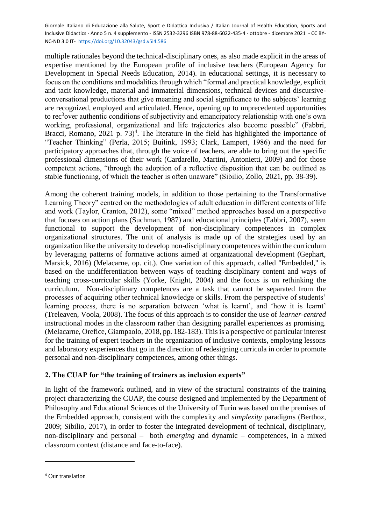multiple rationales beyond the technical-disciplinary ones, as also made explicit in the areas of expertise mentioned by the European profile of inclusive teachers (European Agency for Development in Special Needs Education, 2014). In educational settings, it is necessary to focus on the conditions and modalities through which "formal and practical knowledge, explicit and tacit knowledge, material and immaterial dimensions, technical devices and discursiveconversational productions that give meaning and social significance to the subjects' learning are recognized, employed and articulated. Hence, opening up to unprecedented opportunities to rec<sup>3</sup>over authentic conditions of subjectivity and emancipatory relationship with one's own working, professional, organizational and life trajectories also become possible" (Fabbri, Bracci, Romano, 2021 p.  $73)^4$ . The literature in the field has highlighted the importance of "Teacher Thinking" (Perla, 2015; Buitink, 1993; Clark, Lampert, 1986) and the need for participatory approaches that, through the voice of teachers, are able to bring out the specific professional dimensions of their work (Cardarello, Martini, Antonietti, 2009) and for those competent actions, "through the adoption of a reflective disposition that can be outlined as stable functioning, of which the teacher is often unaware" (Sibilio, Zollo, 2021, pp. 38-39).

Among the coherent training models, in addition to those pertaining to the Transformative Learning Theory" centred on the methodologies of adult education in different contexts of life and work (Taylor, Cranton, 2012), some "mixed" method approaches based on a perspective that focuses on action plans (Suchman, 1987) and educational principles (Fabbri, 2007), seem functional to support the development of non-disciplinary competences in complex organizational structures. The unit of analysis is made up of the strategies used by an organization like the university to develop non-disciplinary competences within the curriculum by leveraging patterns of formative actions aimed at organizational development (Gephart, Marsick, 2016) (Melacarne, op. cit.). One variation of this approach, called "Embedded," is based on the undifferentiation between ways of teaching disciplinary content and ways of teaching cross-curricular skills (Yorke, Knight, 2004) and the focus is on rethinking the curriculum. Non-disciplinary competences are a task that cannot be separated from the processes of acquiring other technical knowledge or skills. From the perspective of students' learning process, there is no separation between 'what is learnt', and 'how it is learnt' (Treleaven, Voola, 2008). The focus of this approach is to consider the use of *learner-centred* instructional modes in the classroom rather than designing parallel experiences as promising. (Melacarne, Orefice, Giampaolo, 2018, pp. 182-183). This is a perspective of particular interest for the training of expert teachers in the organization of inclusive contexts, employing lessons and laboratory experiences that go in the direction of redesigning curricula in order to promote personal and non-disciplinary competences, among other things.

# **2. The CUAP for "the training of trainers as inclusion experts"**

In light of the framework outlined, and in view of the structural constraints of the training project characterizing the CUAP, the course designed and implemented by the Department of Philosophy and Educational Sciences of the University of Turin was based on the premises of the Embedded approach, consistent with the complexity and *simplexity* paradigms (Berthoz, 2009; Sibilio, 2017), in order to foster the integrated development of technical, disciplinary, non-disciplinary and personal – both *emerging* and dynamic – competences, in a mixed classroom context (distance and face-to-face).

-

<sup>4</sup> Our translation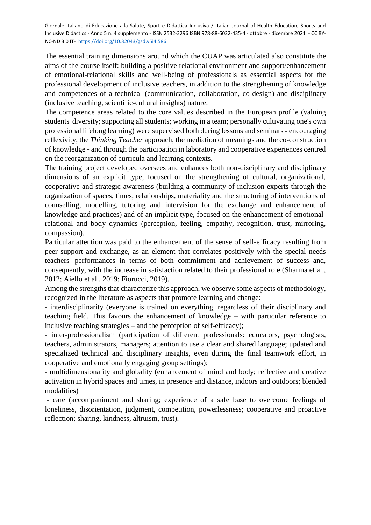The essential training dimensions around which the CUAP was articulated also constitute the aims of the course itself: building a positive relational environment and support/enhancement of emotional-relational skills and well-being of professionals as essential aspects for the professional development of inclusive teachers, in addition to the strengthening of knowledge and competences of a technical (communication, collaboration, co-design) and disciplinary (inclusive teaching, scientific-cultural insights) nature.

The competence areas related to the core values described in the European profile (valuing students' diversity; supporting all students; working in a team; personally cultivating one's own professional lifelong learning) were supervised both during lessons and seminars - encouraging reflexivity, the *Thinking Teacher* approach, the mediation of meanings and the co-construction of knowledge - and through the participation in laboratory and cooperative experiences centred on the reorganization of curricula and learning contexts.

The training project developed oversees and enhances both non-disciplinary and disciplinary dimensions of an explicit type, focused on the strengthening of cultural, organizational, cooperative and strategic awareness (building a community of inclusion experts through the organization of spaces, times, relationships, materiality and the structuring of interventions of counselling, modelling, tutoring and intervision for the exchange and enhancement of knowledge and practices) and of an implicit type, focused on the enhancement of emotionalrelational and body dynamics (perception, feeling, empathy, recognition, trust, mirroring, compassion).

Particular attention was paid to the enhancement of the sense of self-efficacy resulting from peer support and exchange, as an element that correlates positively with the special needs teachers' performances in terms of both commitment and achievement of success and, consequently, with the increase in satisfaction related to their professional role (Sharma et al., 2012; Aiello et al., 2019; Fiorucci, 2019).

Among the strengths that characterize this approach, we observe some aspects of methodology, recognized in the literature as aspects that promote learning and change:

- interdisciplinarity (everyone is trained on everything, regardless of their disciplinary and teaching field. This favours the enhancement of knowledge – with particular reference to inclusive teaching strategies – and the perception of self-efficacy);

- inter-professionalism (participation of different professionals: educators, psychologists, teachers, administrators, managers; attention to use a clear and shared language; updated and specialized technical and disciplinary insights, even during the final teamwork effort, in cooperative and emotionally engaging group settings);

- multidimensionality and globality (enhancement of mind and body; reflective and creative activation in hybrid spaces and times, in presence and distance, indoors and outdoors; blended modalities)

- care (accompaniment and sharing; experience of a safe base to overcome feelings of loneliness, disorientation, judgment, competition, powerlessness; cooperative and proactive reflection; sharing, kindness, altruism, trust).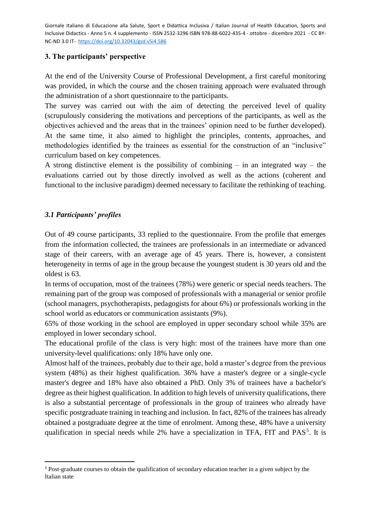### **3. The participants' perspective**

At the end of the University Course of Professional Development, a first careful monitoring was provided, in which the course and the chosen training approach were evaluated through the administration of a short questionnaire to the participants.

The survey was carried out with the aim of detecting the perceived level of quality (scrupulously considering the motivations and perceptions of the participants, as well as the objectives achieved and the areas that in the trainees' opinion need to be further developed). At the same time, it also aimed to highlight the principles, contents, approaches, and methodologies identified by the trainees as essential for the construction of an "inclusive" curriculum based on key competences.

A strong distinctive element is the possibility of combining – in an integrated way – the evaluations carried out by those directly involved as well as the actions (coherent and functional to the inclusive paradigm) deemed necessary to facilitate the rethinking of teaching.

# *3.1 Participants' profiles*

-

Out of 49 course participants, 33 replied to the questionnaire. From the profile that emerges from the information collected, the trainees are professionals in an intermediate or advanced stage of their careers, with an average age of 45 years. There is, however, a consistent heterogeneity in terms of age in the group because the youngest student is 30 years old and the oldest is 63.

In terms of occupation, most of the trainees (78%) were generic or special needs teachers. The remaining part of the group was composed of professionals with a managerial or senior profile (school managers, psychotherapists, pedagogists for about 6%) or professionals working in the school world as educators or communication assistants (9%).

65% of those working in the school are employed in upper secondary school while 35% are employed in lower secondary school.

The educational profile of the class is very high: most of the trainees have more than one university-level qualifications: only 18% have only one.

Almost half of the trainees, probably due to their age, hold a master's degree from the previous system (48%) as their highest qualification. 36% have a master's degree or a single-cycle master's degree and 18% have also obtained a PhD. Only 3% of trainees have a bachelor's degree as their highest qualification. In addition to high levels of university qualifications, there is also a substantial percentage of professionals in the group of trainees who already have specific postgraduate training in teaching and inclusion. In fact, 82% of the trainees has already obtained a postgraduate degree at the time of enrolment. Among these, 48% have a university qualification in special needs while 2% have a specialization in TFA, FIT and PAS<sup>5</sup>. It is

<sup>5</sup> Post-graduate courses to obtain the qualification of secondary education teacher in a given subject by the Italian state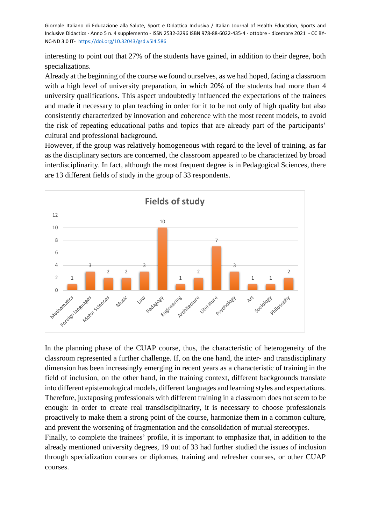interesting to point out that 27% of the students have gained, in addition to their degree, both specializations.

Already at the beginning of the course we found ourselves, as we had hoped, facing a classroom with a high level of university preparation, in which 20% of the students had more than 4 university qualifications. This aspect undoubtedly influenced the expectations of the trainees and made it necessary to plan teaching in order for it to be not only of high quality but also consistently characterized by innovation and coherence with the most recent models, to avoid the risk of repeating educational paths and topics that are already part of the participants' cultural and professional background.

However, if the group was relatively homogeneous with regard to the level of training, as far as the disciplinary sectors are concerned, the classroom appeared to be characterized by broad interdisciplinarity. In fact, although the most frequent degree is in Pedagogical Sciences, there are 13 different fields of study in the group of 33 respondents.



In the planning phase of the CUAP course, thus, the characteristic of heterogeneity of the classroom represented a further challenge. If, on the one hand, the inter- and transdisciplinary dimension has been increasingly emerging in recent years as a characteristic of training in the field of inclusion, on the other hand, in the training context, different backgrounds translate into different epistemological models, different languages and learning styles and expectations. Therefore, juxtaposing professionals with different training in a classroom does not seem to be enough: in order to create real transdisciplinarity, it is necessary to choose professionals proactively to make them a strong point of the course, harmonize them in a common culture, and prevent the worsening of fragmentation and the consolidation of mutual stereotypes.

Finally, to complete the trainees' profile, it is important to emphasize that, in addition to the already mentioned university degrees, 19 out of 33 had further studied the issues of inclusion through specialization courses or diplomas, training and refresher courses, or other CUAP courses.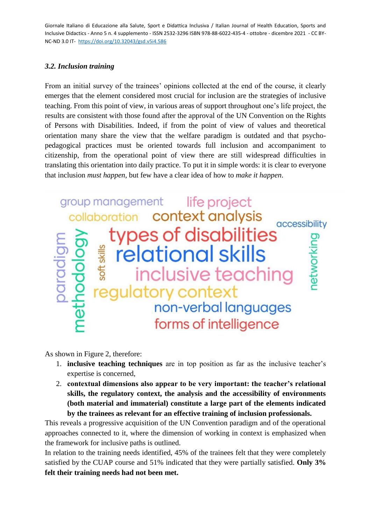# *3.2. Inclusion training*

From an initial survey of the trainees' opinions collected at the end of the course, it clearly emerges that the element considered most crucial for inclusion are the strategies of inclusive teaching. From this point of view, in various areas of support throughout one's life project, the results are consistent with those found after the approval of the UN Convention on the Rights of Persons with Disabilities. Indeed, if from the point of view of values and theoretical orientation many share the view that the welfare paradigm is outdated and that psychopedagogical practices must be oriented towards full inclusion and accompaniment to citizenship, from the operational point of view there are still widespread difficulties in translating this orientation into daily practice. To put it in simple words: it is clear to everyone that inclusion *must happen*, but few have a clear idea of how to *make it happen*.



As shown in Figure 2, therefore:

- 1. **inclusive teaching techniques** are in top position as far as the inclusive teacher's expertise is concerned,
- 2. **contextual dimensions also appear to be very important: the teacher's relational skills, the regulatory context, the analysis and the accessibility of environments (both material and immaterial) constitute a large part of the elements indicated by the trainees as relevant for an effective training of inclusion professionals.**

This reveals a progressive acquisition of the UN Convention paradigm and of the operational approaches connected to it, where the dimension of working in context is emphasized when the framework for inclusive paths is outlined.

In relation to the training needs identified, 45% of the trainees felt that they were completely satisfied by the CUAP course and 51% indicated that they were partially satisfied. **Only 3% felt their training needs had not been met.**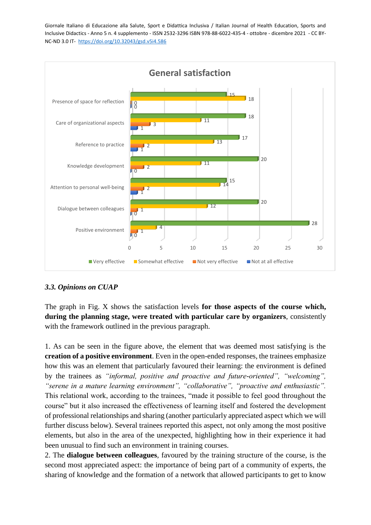

# *3.3. Opinions on CUAP*

The graph in Fig. X shows the satisfaction levels **for those aspects of the course which, during the planning stage, were treated with particular care by organizers**, consistently with the framework outlined in the previous paragraph.

1. As can be seen in the figure above, the element that was deemed most satisfying is the **creation of a positive environment**. Even in the open-ended responses, the trainees emphasize how this was an element that particularly favoured their learning: the environment is defined by the trainees as *"informal, positive and proactive and future-oriented", "welcoming", "serene in a mature learning environment", "collaborative", "proactive and enthusiastic".* This relational work, according to the trainees, "made it possible to feel good throughout the course" but it also increased the effectiveness of learning itself and fostered the development of professional relationships and sharing (another particularly appreciated aspect which we will further discuss below). Several trainees reported this aspect, not only among the most positive elements, but also in the area of the unexpected, highlighting how in their experience it had been unusual to find such an environment in training courses.

2. The **dialogue between colleagues**, favoured by the training structure of the course, is the second most appreciated aspect: the importance of being part of a community of experts, the sharing of knowledge and the formation of a network that allowed participants to get to know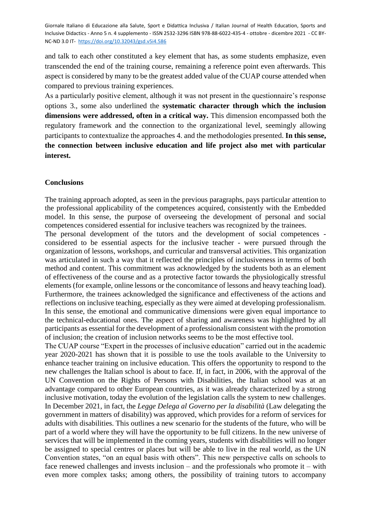and talk to each other constituted a key element that has, as some students emphasize, even transcended the end of the training course, remaining a reference point even afterwards. This aspect is considered by many to be the greatest added value of the CUAP course attended when compared to previous training experiences.

As a particularly positive element, although it was not present in the questionnaire's response options 3., some also underlined the **systematic character through which the inclusion dimensions were addressed, often in a critical way.** This dimension encompassed both the regulatory framework and the connection to the organizational level, seemingly allowing participants to contextualize the approaches 4. and the methodologies presented. **In this sense, the connection between inclusive education and life project also met with particular interest.**

#### **Conclusions**

The training approach adopted, as seen in the previous paragraphs, pays particular attention to the professional applicability of the competences acquired, consistently with the Embedded model. In this sense, the purpose of overseeing the development of personal and social competences considered essential for inclusive teachers was recognized by the trainees.

The personal development of the tutors and the development of social competences considered to be essential aspects for the inclusive teacher - were pursued through the organization of lessons, workshops, and curricular and transversal activities. This organization was articulated in such a way that it reflected the principles of inclusiveness in terms of both method and content. This commitment was acknowledged by the students both as an element of effectiveness of the course and as a protective factor towards the physiologically stressful elements (for example, online lessons or the concomitance of lessons and heavy teaching load). Furthermore, the trainees acknowledged the significance and effectiveness of the actions and reflections on inclusive teaching, especially as they were aimed at developing professionalism. In this sense, the emotional and communicative dimensions were given equal importance to the technical-educational ones. The aspect of sharing and awareness was highlighted by all participants as essential for the development of a professionalism consistent with the promotion of inclusion; the creation of inclusion networks seems to be the most effective tool.

The CUAP course "Expert in the processes of inclusive education" carried out in the academic year 2020-2021 has shown that it is possible to use the tools available to the University to enhance teacher training on inclusive education. This offers the opportunity to respond to the new challenges the Italian school is about to face. If, in fact, in 2006, with the approval of the UN Convention on the Rights of Persons with Disabilities, the Italian school was at an advantage compared to other European countries, as it was already characterized by a strong inclusive motivation, today the evolution of the legislation calls the system to new challenges. In December 2021, in fact, the *Legge Delega al Governo per la disabilità* (Law delegating the government in matters of disability) was approved, which provides for a reform of services for adults with disabilities. This outlines a new scenario for the students of the future, who will be part of a world where they will have the opportunity to be full citizens. In the new universe of services that will be implemented in the coming years, students with disabilities will no longer be assigned to special centres or places but will be able to live in the real world, as the UN Convention states, "on an equal basis with others". This new perspective calls on schools to face renewed challenges and invests inclusion – and the professionals who promote it – with even more complex tasks; among others, the possibility of training tutors to accompany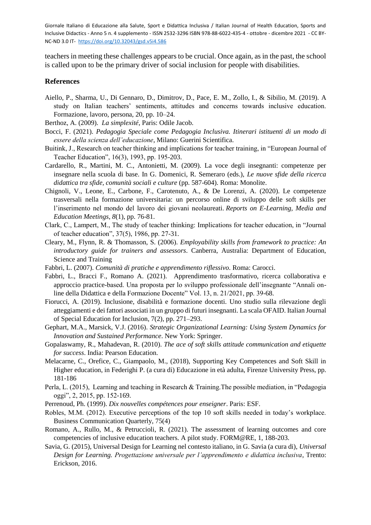teachers in meeting these challenges appears to be crucial. Once again, as in the past, the school is called upon to be the primary driver of social inclusion for people with disabilities.

#### **References**

- Aiello, P., Sharma, U., Di Gennaro, D., Dimitrov, D., Pace, E. M., Zollo, I., & Sibilio, M. (2019). A study on Italian teachers' sentiments, attitudes and concerns towards inclusive education. Formazione, lavoro, persona, 20, pp. 10–24.
- Berthoz, A. (2009). *La simplexité*, Paris: Odile Jacob.
- Bocci, F. (2021). *Pedagogia Speciale come Pedagogia Inclusiva. Itinerari istituenti di un modo di essere della scienza dell'educazione*, Milano: Guerini Scientifica.
- Buitink, J., Research on teacher thinking and implications for teacher training, in "European Journal of Teacher Education", 16(3), 1993, pp. 195-203.
- Cardarello, R., Martini, M. C., Antonietti, M. (2009). La voce degli insegnanti: competenze per insegnare nella scuola di base. In G. Domenici, R. Semeraro (eds.), *Le nuove sfide della ricerca didattica tra sfide, comunità sociali e culture* (pp. 587-604). Roma: Monolite.
- Chignoli, V., Leone, E., Carbone, F., Carotenuto, A., & De Lorenzi, A. (2020). Le competenze trasversali nella formazione universitaria: un percorso online di sviluppo delle soft skills per l'inserimento nel mondo del lavoro dei giovani neolaureati. *Reports on E-Learning, Media and Education Meetings*, *8*(1), pp. 76-81.
- Clark, C., Lampert, M., The study of teacher thinking: Implications for teacher education, in "Journal of teacher education", 37(5), 1986, pp. 27-31.
- Cleary, M., Flynn, R. & Thomasson, S. (2006). *Employability skills from framework to practice: An introductory guide for trainers and assessors*. Canberra, Australia: Department of Education, Science and Training
- Fabbri, L. (2007). *Comunità di pratiche e apprendimento riflessivo*. Roma: Carocci.
- Fabbri, L., Bracci F., Romano A. (2021). Apprendimento trasformativo, ricerca collaborativa e approccio practice-based. Una proposta per lo sviluppo professionale dell'insegnante "Annali online della Didattica e della Formazione Docente" Vol. 13, n. 21/2021, pp. 39-68.
- Fiorucci, A. (2019). Inclusione, disabilità e formazione docenti. Uno studio sulla rilevazione degli atteggiamenti e dei fattori associati in un gruppo di futuri insegnanti. La scala OFAID. Italian Journal of Special Education for Inclusion, 7(2), pp. 271–293.
- Gephart, M.A., Marsick, V.J. (2016). *Strategic Organizational Learning: Using System Dynamics for Innovation and Sustained Performance*. New York: Springer.
- Gopalaswamy, R., Mahadevan, R. (2010). *The ace of soft skills attitude communication and etiquette for success*. India: Pearson Education.
- Melacarne, C., Orefice, C., Giampaolo, M., (2018), Supporting Key Competences and Soft Skill in Higher education, in Federighi P. (a cura di) Educazione in età adulta, Firenze University Press, pp. 181-186
- Perla, L. (2015), Learning and teaching in Research & Training.The possible mediation, in "Pedagogia oggi", 2, 2015, pp. 152-169.
- Perrenoud, Ph. (1999). *Dix nouvelles compétences pour enseigner*. Paris: ESF.
- Robles, M.M. (2012). Executive perceptions of the top 10 soft skills needed in today's workplace. Business Communication Quarterly, 75(4)
- Romano, A., Rullo, M., & Petruccioli, R. (2021). The assessment of learning outcomes and core competencies of inclusive education teachers. A pilot study. FORM@RE, 1, 188-203.
- Savia, G. (2015), Universal Design for Learning nel contesto italiano, in G. Savia (a cura di), *Universal Design for Learning. Progettazione universale per l'apprendimento e didattica inclusiva*, Trento: Erickson, 2016.